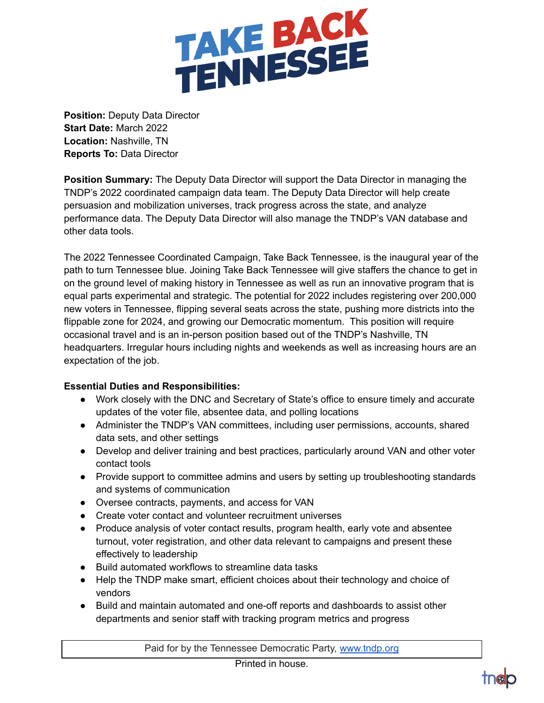

**Position:** Deputy Data Director **Start Date:** March 2022 **Location:** Nashville, TN **Reports To:** Data Director

**Position Summary:** The Deputy Data Director will support the Data Director in managing the TNDP's 2022 coordinated campaign data team. The Deputy Data Director will help create persuasion and mobilization universes, track progress across the state, and analyze performance data. The Deputy Data Director will also manage the TNDP's VAN database and other data tools.

The 2022 Tennessee Coordinated Campaign, Take Back Tennessee, is the inaugural year of the path to turn Tennessee blue. Joining Take Back Tennessee will give staffers the chance to get in on the ground level of making history in Tennessee as well as run an innovative program that is equal parts experimental and strategic. The potential for 2022 includes registering over 200,000 new voters in Tennessee, flipping several seats across the state, pushing more districts into the flippable zone for 2024, and growing our Democratic momentum. This position will require occasional travel and is an in-person position based out of the TNDP's Nashville, TN headquarters. Irregular hours including nights and weekends as well as increasing hours are an expectation of the job.

## **Essential Duties and Responsibilities:**

- Work closely with the DNC and Secretary of State's office to ensure timely and accurate updates of the voter file, absentee data, and polling locations
- Administer the TNDP's VAN committees, including user permissions, accounts, shared data sets, and other settings
- Develop and deliver training and best practices, particularly around VAN and other voter contact tools
- Provide support to committee admins and users by setting up troubleshooting standards and systems of communication
- Oversee contracts, payments, and access for VAN
- Create voter contact and volunteer recruitment universes
- Produce analysis of voter contact results, program health, early vote and absentee turnout, voter registration, and other data relevant to campaigns and present these effectively to leadership
- Build automated workflows to streamline data tasks
- Help the TNDP make smart, efficient choices about their technology and choice of vendors
- Build and maintain automated and one-off reports and dashboards to assist other departments and senior staff with tracking program metrics and progress

Paid for by the Tennessee Democratic Party, [www.tndp.org](http://www.tndp.org/)

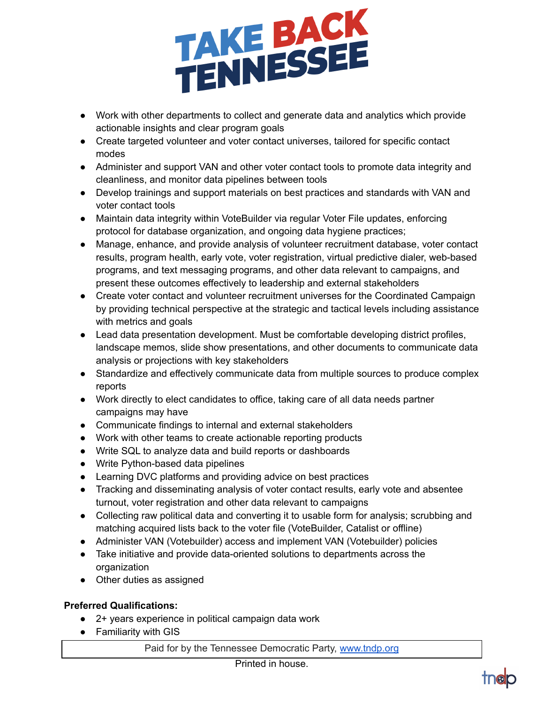

- Work with other departments to collect and generate data and analytics which provide actionable insights and clear program goals
- Create targeted volunteer and voter contact universes, tailored for specific contact modes
- Administer and support VAN and other voter contact tools to promote data integrity and cleanliness, and monitor data pipelines between tools
- Develop trainings and support materials on best practices and standards with VAN and voter contact tools
- Maintain data integrity within VoteBuilder via regular Voter File updates, enforcing protocol for database organization, and ongoing data hygiene practices;
- Manage, enhance, and provide analysis of volunteer recruitment database, voter contact results, program health, early vote, voter registration, virtual predictive dialer, web-based programs, and text messaging programs, and other data relevant to campaigns, and present these outcomes effectively to leadership and external stakeholders
- Create voter contact and volunteer recruitment universes for the Coordinated Campaign by providing technical perspective at the strategic and tactical levels including assistance with metrics and goals
- Lead data presentation development. Must be comfortable developing district profiles, landscape memos, slide show presentations, and other documents to communicate data analysis or projections with key stakeholders
- Standardize and effectively communicate data from multiple sources to produce complex reports
- Work directly to elect candidates to office, taking care of all data needs partner campaigns may have
- Communicate findings to internal and external stakeholders
- Work with other teams to create actionable reporting products
- Write SQL to analyze data and build reports or dashboards
- Write Python-based data pipelines
- Learning DVC platforms and providing advice on best practices
- Tracking and disseminating analysis of voter contact results, early vote and absentee turnout, voter registration and other data relevant to campaigns
- Collecting raw political data and converting it to usable form for analysis; scrubbing and matching acquired lists back to the voter file (VoteBuilder, Catalist or offline)
- Administer VAN (Votebuilder) access and implement VAN (Votebuilder) policies
- Take initiative and provide data-oriented solutions to departments across the organization
- Other duties as assigned

## **Preferred Qualifications:**

- 2+ years experience in political campaign data work
- Familiarity with GIS

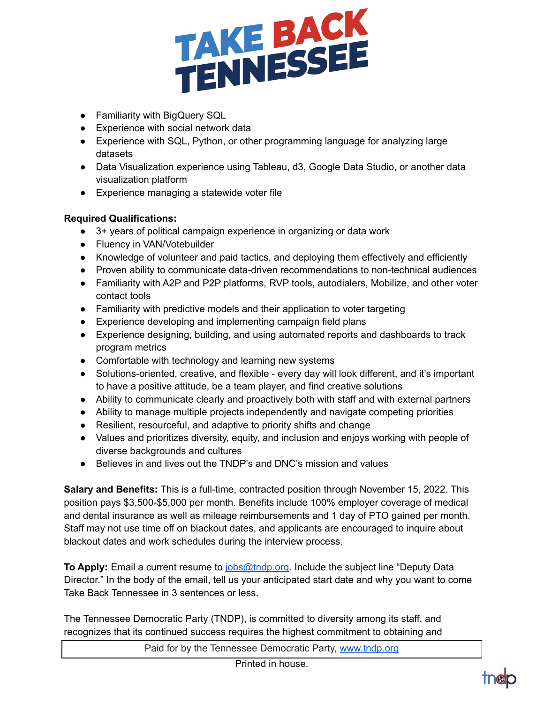

- Familiarity with BigQuery SQL
- Experience with social network data
- Experience with SQL, Python, or other programming language for analyzing large datasets
- Data Visualization experience using Tableau, d3, Google Data Studio, or another data visualization platform
- Experience managing a statewide voter file

## **Required Qualifications:**

- 3+ years of political campaign experience in organizing or data work
- Fluency in VAN/Votebuilder
- Knowledge of volunteer and paid tactics, and deploying them effectively and efficiently
- Proven ability to communicate data-driven recommendations to non-technical audiences
- Familiarity with A2P and P2P platforms, RVP tools, autodialers, Mobilize, and other voter contact tools
- Familiarity with predictive models and their application to voter targeting
- Experience developing and implementing campaign field plans
- Experience designing, building, and using automated reports and dashboards to track program metrics
- Comfortable with technology and learning new systems
- Solutions-oriented, creative, and flexible every day will look different, and it's important to have a positive attitude, be a team player, and find creative solutions
- Ability to communicate clearly and proactively both with staff and with external partners
- Ability to manage multiple projects independently and navigate competing priorities
- Resilient, resourceful, and adaptive to priority shifts and change
- Values and prioritizes diversity, equity, and inclusion and enjoys working with people of diverse backgrounds and cultures
- Believes in and lives out the TNDP's and DNC's mission and values

**Salary and Benefits:** This is a full-time, contracted position through November 15, 2022. This position pays \$3,500-\$5,000 per month. Benefits include 100% employer coverage of medical and dental insurance as well as mileage reimbursements and 1 day of PTO gained per month. Staff may not use time off on blackout dates, and applicants are encouraged to inquire about blackout dates and work schedules during the interview process.

**To Apply:** Email a current resume to [jobs@tndp.org](mailto:jobs@tndp.org). Include the subject line "Deputy Data Director." In the body of the email, tell us your anticipated start date and why you want to come Take Back Tennessee in 3 sentences or less.

The Tennessee Democratic Party (TNDP), is committed to diversity among its staff, and recognizes that its continued success requires the highest commitment to obtaining and

Paid for by the Tennessee Democratic Party, [www.tndp.org](http://www.tndp.org/)